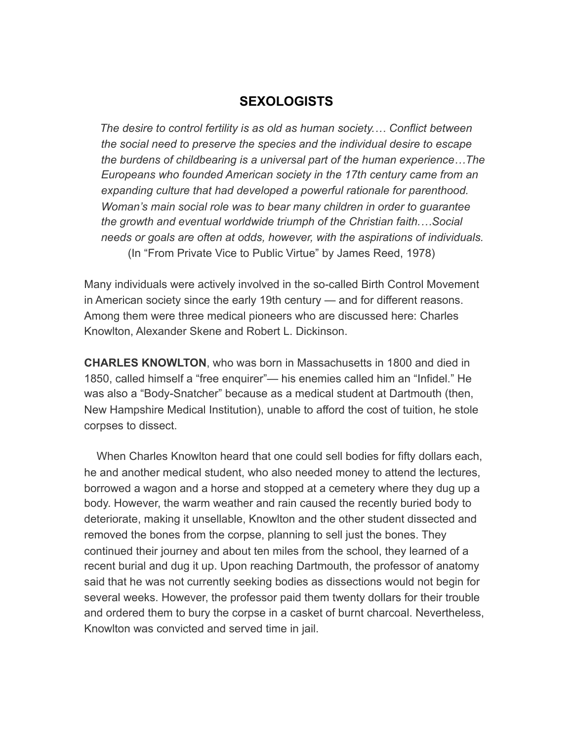## **SEXOLOGISTS**

 *The desire to control fertility is as old as human society.… Conflict between the social need to preserve the species and the individual desire to escape the burdens of childbearing is a universal part of the human experience…The Europeans who founded American society in the 17th century came from an expanding culture that had developed a powerful rationale for parenthood. Woman's main social role was to bear many children in order to guarantee the growth and eventual worldwide triumph of the Christian faith.…Social needs or goals are often at odds, however, with the aspirations of individuals.* (In "From Private Vice to Public Virtue" by James Reed, 1978)

Many individuals were actively involved in the so-called Birth Control Movement in American society since the early 19th century — and for different reasons. Among them were three medical pioneers who are discussed here: Charles Knowlton, Alexander Skene and Robert L. Dickinson.

**CHARLES KNOWLTON**, who was born in Massachusetts in 1800 and died in 1850, called himself a "free enquirer"— his enemies called him an "Infidel." He was also a "Body-Snatcher" because as a medical student at Dartmouth (then, New Hampshire Medical Institution), unable to afford the cost of tuition, he stole corpses to dissect.

 When Charles Knowlton heard that one could sell bodies for fifty dollars each, he and another medical student, who also needed money to attend the lectures, borrowed a wagon and a horse and stopped at a cemetery where they dug up a body. However, the warm weather and rain caused the recently buried body to deteriorate, making it unsellable, Knowlton and the other student dissected and removed the bones from the corpse, planning to sell just the bones. They continued their journey and about ten miles from the school, they learned of a recent burial and dug it up. Upon reaching Dartmouth, the professor of anatomy said that he was not currently seeking bodies as dissections would not begin for several weeks. However, the professor paid them twenty dollars for their trouble and ordered them to bury the corpse in a casket of burnt charcoal. Nevertheless, Knowlton was convicted and served time in jail.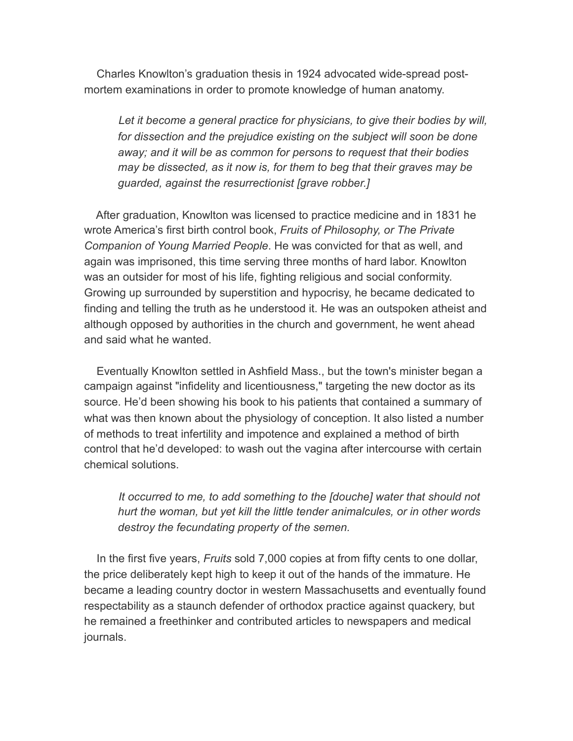Charles Knowlton's graduation thesis in 1924 advocated wide-spread postmortem examinations in order to promote knowledge of human anatomy.

 *Let it become a general practice for physicians, to give their bodies by will, for dissection and the prejudice existing on the subject will soon be done away; and it will be as common for persons to request that their bodies may be dissected, as it now is, for them to beg that their graves may be guarded, against the resurrectionist [grave robber.]* 

 After graduation, Knowlton was licensed to practice medicine and in 1831 he wrote America's first birth control book, *Fruits of Philosophy, or The Private Companion of Young Married People*. He was convicted for that as well, and again was imprisoned, this time serving three months of hard labor. Knowlton was an outsider for most of his life, fighting religious and social conformity. Growing up surrounded by superstition and hypocrisy, he became dedicated to finding and telling the truth as he understood it. He was an outspoken atheist and although opposed by authorities in the church and government, he went ahead and said what he wanted.

 Eventually Knowlton settled in Ashfield Mass., but the town's minister began a campaign against "infidelity and licentiousness," targeting the new doctor as its source. He'd been showing his book to his patients that contained a summary of what was then known about the physiology of conception. It also listed a number of methods to treat infertility and impotence and explained a method of birth control that he'd developed: to wash out the vagina after intercourse with certain chemical solutions.

 *It occurred to me, to add something to the [douche] water that should not hurt the woman, but yet kill the little tender animalcules, or in other words destroy the fecundating property of the semen.* 

 In the first five years, *Fruits* sold 7,000 copies at from fifty cents to one dollar, the price deliberately kept high to keep it out of the hands of the immature. He became a leading country doctor in western Massachusetts and eventually found respectability as a staunch defender of orthodox practice against quackery, but he remained a freethinker and contributed articles to newspapers and medical journals.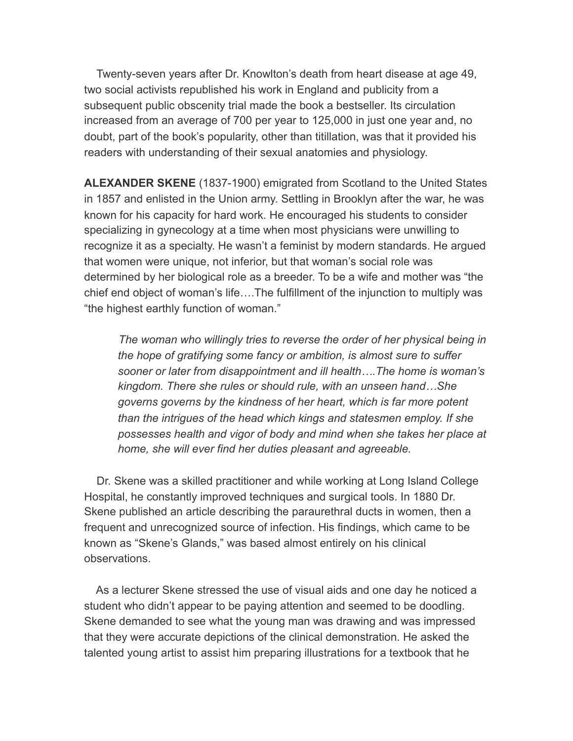Twenty-seven years after Dr. Knowlton's death from heart disease at age 49, two social activists republished his work in England and publicity from a subsequent public obscenity trial made the book a bestseller. Its circulation increased from an average of 700 per year to 125,000 in just one year and, no doubt, part of the book's popularity, other than titillation, was that it provided his readers with understanding of their sexual anatomies and physiology.

**ALEXANDER SKENE** (1837-1900) emigrated from Scotland to the United States in 1857 and enlisted in the Union army. Settling in Brooklyn after the war, he was known for his capacity for hard work. He encouraged his students to consider specializing in gynecology at a time when most physicians were unwilling to recognize it as a specialty. He wasn't a feminist by modern standards. He argued that women were unique, not inferior, but that woman's social role was determined by her biological role as a breeder. To be a wife and mother was "the chief end object of woman's life….The fulfillment of the injunction to multiply was "the highest earthly function of woman."

 *The woman who willingly tries to reverse the order of her physical being in the hope of gratifying some fancy or ambition, is almost sure to suffer sooner or later from disappointment and ill health….The home is woman's kingdom. There she rules or should rule, with an unseen hand…She governs governs by the kindness of her heart, which is far more potent than the intrigues of the head which kings and statesmen employ. If she possesses health and vigor of body and mind when she takes her place at home, she will ever find her duties pleasant and agreeable.* 

 Dr. Skene was a skilled practitioner and while working at Long Island College Hospital, he constantly improved techniques and surgical tools. In 1880 Dr. Skene published an article describing the paraurethral ducts in women, then a frequent and unrecognized source of infection. His findings, which came to be known as "Skene's Glands," was based almost entirely on his clinical observations.

 As a lecturer Skene stressed the use of visual aids and one day he noticed a student who didn't appear to be paying attention and seemed to be doodling. Skene demanded to see what the young man was drawing and was impressed that they were accurate depictions of the clinical demonstration. He asked the talented young artist to assist him preparing illustrations for a textbook that he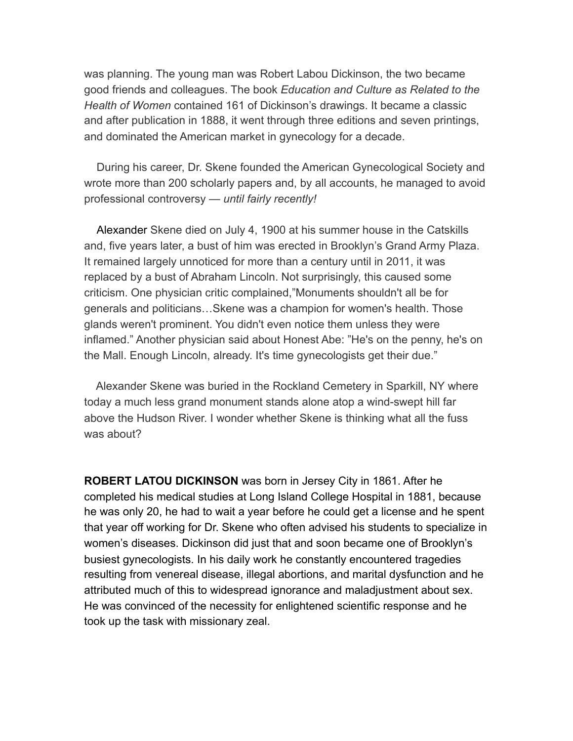was planning. The young man was Robert Labou Dickinson, the two became good friends and colleagues. The book *Education and Culture as Related to the Health of Women* contained 161 of Dickinson's drawings. It became a classic and after publication in 1888, it went through three editions and seven printings, and dominated the American market in gynecology for a decade.

 During his career, Dr. Skene founded the American Gynecological Society and wrote more than 200 scholarly papers and, by all accounts, he managed to avoid professional controversy — *until fairly recently!* 

Alexander Skene died on July 4, 1900 at his summer house in the Catskills and, five years later, a bust of him was erected in Brooklyn's Grand Army Plaza. It remained largely unnoticed for more than a century until in 2011, it was replaced by a bust of Abraham Lincoln. Not surprisingly, this caused some criticism. One physician critic complained,"Monuments shouldn't all be for generals and politicians…Skene was a champion for women's health. Those glands weren't prominent. You didn't even notice them unless they were inflamed." Another physician said about Honest Abe: "He's on the penny, he's on the Mall. Enough Lincoln, already. It's time gynecologists get their due."

 Alexander Skene was buried in the Rockland Cemetery in Sparkill, NY where today a much less grand monument stands alone atop a wind-swept hill far above the Hudson River. I wonder whether Skene is thinking what all the fuss was about?

**ROBERT LATOU DICKINSON** was born in Jersey City in 1861. After he completed his medical studies at Long Island College Hospital in 1881, because he was only 20, he had to wait a year before he could get a license and he spent that year off working for Dr. Skene who often advised his students to specialize in women's diseases. Dickinson did just that and soon became one of Brooklyn's busiest gynecologists. In his daily work he constantly encountered tragedies resulting from venereal disease, illegal abortions, and marital dysfunction and he attributed much of this to widespread ignorance and maladjustment about sex. He was convinced of the necessity for enlightened scientific response and he took up the task with missionary zeal.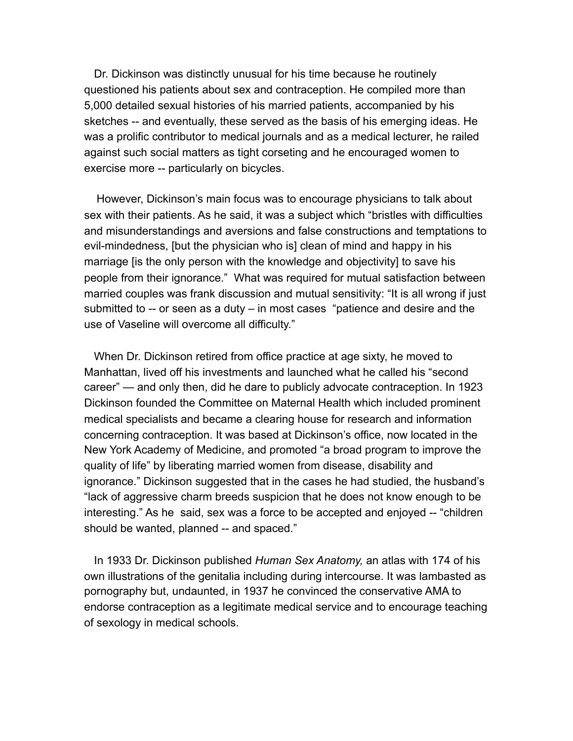Dr. Dickinson was distinctly unusual for his time because he routinely questioned his patients about sex and contraception. He compiled more than 5,000 detailed sexual histories of his married patients, accompanied by his sketches -- and eventually, these served as the basis of his emerging ideas. He was a prolific contributor to medical journals and as a medical lecturer, he railed against such social matters as tight corseting and he encouraged women to exercise more -- particularly on bicycles.

 However, Dickinson's main focus was to encourage physicians to talk about sex with their patients. As he said, it was a subject which "bristles with difficulties and misunderstandings and aversions and false constructions and temptations to evil-mindedness, [but the physician who is] clean of mind and happy in his marriage [is the only person with the knowledge and objectivity] to save his people from their ignorance." What was required for mutual satisfaction between married couples was frank discussion and mutual sensitivity: "It is all wrong if just submitted to -- or seen as a duty – in most cases "patience and desire and the use of Vaseline will overcome all difficulty."

 When Dr. Dickinson retired from office practice at age sixty, he moved to Manhattan, lived off his investments and launched what he called his "second career" — and only then, did he dare to publicly advocate contraception. In 1923 Dickinson founded the Committee on Maternal Health which included prominent medical specialists and became a clearing house for research and information concerning contraception. It was based at Dickinson's office, now located in the New York Academy of Medicine, and promoted "a broad program to improve the quality of life" by liberating married women from disease, disability and ignorance." Dickinson suggested that in the cases he had studied, the husband's "lack of aggressive charm breeds suspicion that he does not know enough to be interesting." As he said, sex was a force to be accepted and enjoyed -- "children should be wanted, planned -- and spaced."

 In 1933 Dr. Dickinson published *Human Sex Anatomy,* an atlas with 174 of his own illustrations of the genitalia including during intercourse. It was lambasted as pornography but, undaunted, in 1937 he convinced the conservative AMA to endorse contraception as a legitimate medical service and to encourage teaching of sexology in medical schools.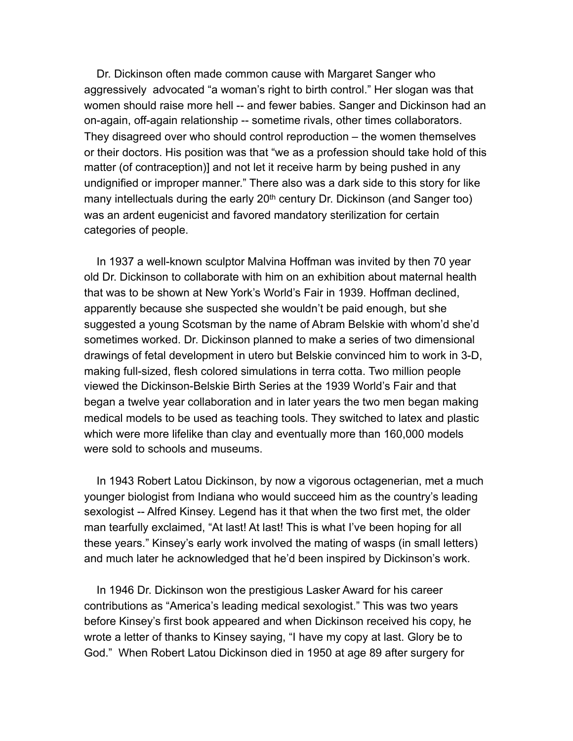Dr. Dickinson often made common cause with Margaret Sanger who aggressively advocated "a woman's right to birth control." Her slogan was that women should raise more hell -- and fewer babies. Sanger and Dickinson had an on-again, off-again relationship -- sometime rivals, other times collaborators. They disagreed over who should control reproduction – the women themselves or their doctors. His position was that "we as a profession should take hold of this matter (of contraception)] and not let it receive harm by being pushed in any undignified or improper manner." There also was a dark side to this story for like many intellectuals during the early 20<sup>th</sup> century Dr. Dickinson (and Sanger too) was an ardent eugenicist and favored mandatory sterilization for certain categories of people.

 In 1937 a well-known sculptor Malvina Hoffman was invited by then 70 year old Dr. Dickinson to collaborate with him on an exhibition about maternal health that was to be shown at New York's World's Fair in 1939. Hoffman declined, apparently because she suspected she wouldn't be paid enough, but she suggested a young Scotsman by the name of Abram Belskie with whom'd she'd sometimes worked. Dr. Dickinson planned to make a series of two dimensional drawings of fetal development in utero but Belskie convinced him to work in 3-D, making full-sized, flesh colored simulations in terra cotta. Two million people viewed the Dickinson-Belskie Birth Series at the 1939 World's Fair and that began a twelve year collaboration and in later years the two men began making medical models to be used as teaching tools. They switched to latex and plastic which were more lifelike than clay and eventually more than 160,000 models were sold to schools and museums.

 In 1943 Robert Latou Dickinson, by now a vigorous octagenerian, met a much younger biologist from Indiana who would succeed him as the country's leading sexologist -- Alfred Kinsey. Legend has it that when the two first met, the older man tearfully exclaimed, "At last! At last! This is what I've been hoping for all these years." Kinsey's early work involved the mating of wasps (in small letters) and much later he acknowledged that he'd been inspired by Dickinson's work.

 In 1946 Dr. Dickinson won the prestigious Lasker Award for his career contributions as "America's leading medical sexologist." This was two years before Kinsey's first book appeared and when Dickinson received his copy, he wrote a letter of thanks to Kinsey saying, "I have my copy at last. Glory be to God." When Robert Latou Dickinson died in 1950 at age 89 after surgery for